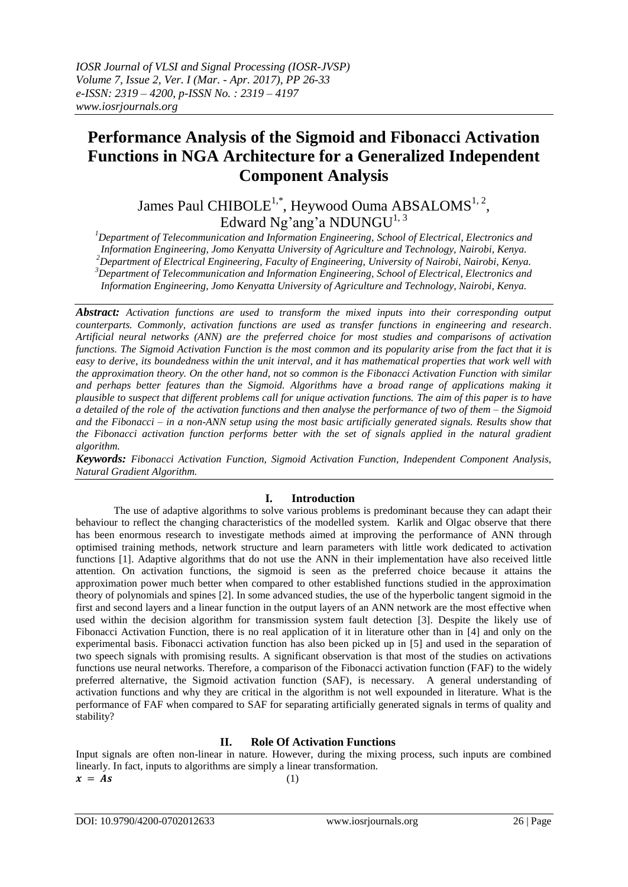# **Performance Analysis of the Sigmoid and Fibonacci Activation Functions in NGA Architecture for a Generalized Independent Component Analysis**

James Paul CHIBOLE $^{1,*}$ , Heywood Ouma ABSALOMS $^{1,\,2},$ Edward Ng'ang'a NDUNGU<sup>1, 3</sup>

*<sup>1</sup>Department of Telecommunication and Information Engineering, School of Electrical, Electronics and Information Engineering, Jomo Kenyatta University of Agriculture and Technology, Nairobi, Kenya. <sup>2</sup>Department of Electrical Engineering, Faculty of Engineering, University of Nairobi, Nairobi, Kenya. <sup>3</sup>Department of Telecommunication and Information Engineering, School of Electrical, Electronics and Information Engineering, Jomo Kenyatta University of Agriculture and Technology, Nairobi, Kenya.*

*Abstract: Activation functions are used to transform the mixed inputs into their corresponding output counterparts. Commonly, activation functions are used as transfer functions in engineering and research. Artificial neural networks (ANN) are the preferred choice for most studies and comparisons of activation functions. The Sigmoid Activation Function is the most common and its popularity arise from the fact that it is easy to derive, its boundedness within the unit interval, and it has mathematical properties that work well with the approximation theory. On the other hand, not so common is the Fibonacci Activation Function with similar*  and perhaps better features than the Sigmoid. Algorithms have a broad range of applications making it *plausible to suspect that different problems call for unique activation functions. The aim of this paper is to have a detailed of the role of the activation functions and then analyse the performance of two of them – the Sigmoid and the Fibonacci – in a non-ANN setup using the most basic artificially generated signals. Results show that the Fibonacci activation function performs better with the set of signals applied in the natural gradient algorithm.*

*Keywords: Fibonacci Activation Function, Sigmoid Activation Function, Independent Component Analysis, Natural Gradient Algorithm.* 

# **I. Introduction**

The use of adaptive algorithms to solve various problems is predominant because they can adapt their behaviour to reflect the changing characteristics of the modelled system. Karlik and Olgac observe that there has been enormous research to investigate methods aimed at improving the performance of ANN through optimised training methods, network structure and learn parameters with little work dedicated to activation functions [1]. Adaptive algorithms that do not use the ANN in their implementation have also received little attention. On activation functions, the sigmoid is seen as the preferred choice because it attains the approximation power much better when compared to other established functions studied in the approximation theory of polynomials and spines [2]. In some advanced studies, the use of the hyperbolic tangent sigmoid in the first and second layers and a linear function in the output layers of an ANN network are the most effective when used within the decision algorithm for transmission system fault detection [3]. Despite the likely use of Fibonacci Activation Function, there is no real application of it in literature other than in [4] and only on the experimental basis. Fibonacci activation function has also been picked up in [5] and used in the separation of two speech signals with promising results. A significant observation is that most of the studies on activations functions use neural networks. Therefore, a comparison of the Fibonacci activation function (FAF) to the widely preferred alternative, the Sigmoid activation function (SAF), is necessary. A general understanding of activation functions and why they are critical in the algorithm is not well expounded in literature. What is the performance of FAF when compared to SAF for separating artificially generated signals in terms of quality and stability?

# **II. Role Of Activation Functions**

Input signals are often non-linear in nature. However, during the mixing process, such inputs are combined linearly. In fact, inputs to algorithms are simply a linear transformation.  $x = As$  (1)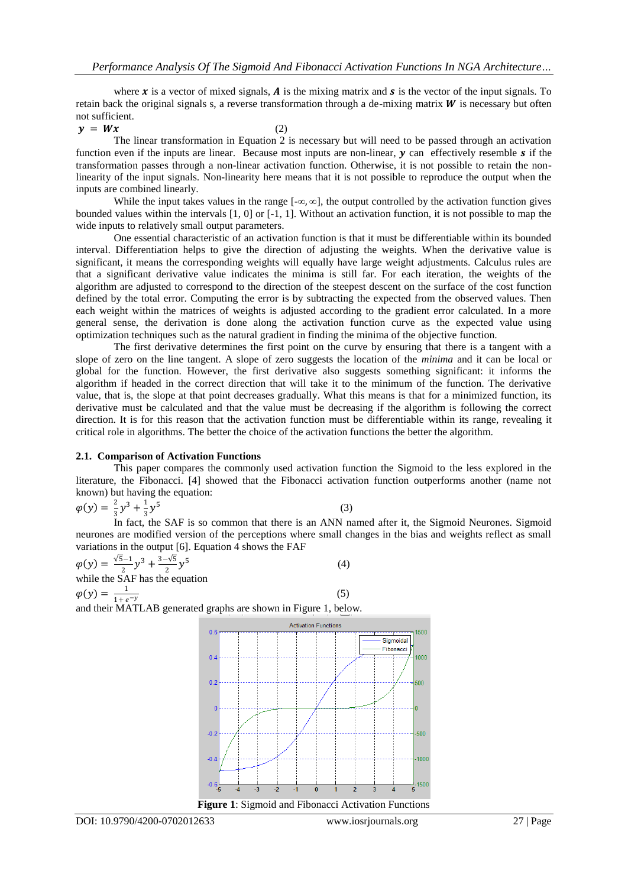where **x** is a vector of mixed signals, **A** is the mixing matrix and **s** is the vector of the input signals. To retain back the original signals s, a reverse transformation through a de-mixing matrix  $W$  is necessary but often not sufficient.

#### $y = Wx$  (2)

The linear transformation in Equation 2 is necessary but will need to be passed through an activation function even if the inputs are linear. Because most inputs are non-linear,  $y$  can effectively resemble  $s$  if the transformation passes through a non-linear activation function. Otherwise, it is not possible to retain the nonlinearity of the input signals. Non-linearity here means that it is not possible to reproduce the output when the inputs are combined linearly.

While the input takes values in the range  $[-\infty, \infty]$ , the output controlled by the activation function gives bounded values within the intervals [1, 0] or [-1, 1]. Without an activation function, it is not possible to map the wide inputs to relatively small output parameters.

One essential characteristic of an activation function is that it must be differentiable within its bounded interval. Differentiation helps to give the direction of adjusting the weights. When the derivative value is significant, it means the corresponding weights will equally have large weight adjustments. Calculus rules are that a significant derivative value indicates the minima is still far. For each iteration, the weights of the algorithm are adjusted to correspond to the direction of the steepest descent on the surface of the cost function defined by the total error. Computing the error is by subtracting the expected from the observed values. Then each weight within the matrices of weights is adjusted according to the gradient error calculated. In a more general sense, the derivation is done along the activation function curve as the expected value using optimization techniques such as the natural gradient in finding the minima of the objective function.

The first derivative determines the first point on the curve by ensuring that there is a tangent with a slope of zero on the line tangent. A slope of zero suggests the location of the *minima* and it can be local or global for the function. However, the first derivative also suggests something significant: it informs the algorithm if headed in the correct direction that will take it to the minimum of the function. The derivative value, that is, the slope at that point decreases gradually. What this means is that for a minimized function, its derivative must be calculated and that the value must be decreasing if the algorithm is following the correct direction. It is for this reason that the activation function must be differentiable within its range, revealing it critical role in algorithms. The better the choice of the activation functions the better the algorithm.

#### **2.1. Comparison of Activation Functions**

This paper compares the commonly used activation function the Sigmoid to the less explored in the literature, the Fibonacci. [4] showed that the Fibonacci activation function outperforms another (name not known) but having the equation:

$$
\varphi(y) = \frac{2}{3}y^3 + \frac{1}{3}y^5
$$

(3)

 $3<sup>3</sup>$  3<sup>2</sup> 3<sup>2</sup> 3<sup>2</sup> 3<sup>2</sup> and 3<sup>3</sup> 3<sup>2</sup> 3<sup>2</sup> 3<sup>2</sup> 3<sup>2</sup> 3<sup>3</sup> 43<sup>3</sup> 43<sup>3</sup> 43<sup>3</sup> 43<sup>3</sup> 43<sup>3</sup> 43<sup>3</sup> 43<sup>3</sup> 43<sup>3</sup> 43<sup>3</sup> 43<sup>3</sup> 43<sup>3</sup> 43<sup>3</sup> 43<sup>3</sup> 43<sup>3</sup> 43<sup>3</sup> 43<sup>3</sup> 43<sup>3</sup> 43<sup>3</sup> 43<sup>4</sup> 43<sup>4</sup> 43<sup>4</sup> 43<sup>4</sup> 43<sup>4</sup> 43<sup>4</sup> 43<sup>4</sup> 43<sup>4</sup> neurones are modified version of the perceptions where small changes in the bias and weights reflect as small variations in the output [6]. Equation 4 shows the FAF

$$
\varphi(y) = \frac{\sqrt{5}-1}{2}y^3 + \frac{3-\sqrt{5}}{2}y^5
$$
\nwhile the SAF has the equation

\n
$$
\varphi(y) = \frac{1}{1+e^{-y}}
$$
\nand their MATLAB generated graphs are shown in Figure 1, below.

\nAction Functions

\n0.6

\nAction Functions

\n0.2

\n0.2

\n0.3

\n0.4

\n0.5

\n0.6

\n0.7

\n0.8

\n0.9

\n0.1

\n0.2

\n0.3

\n0.4

\n0.5

\n0.6

\n0.7

\n0.8

\n0.9

\n0.1

\n0.2

\n0.3

\n0.4

\n0.5

\n0.6

\n0.7

\n0.8

\n0.9

\n0.1

\n0.2

\n0.3

\n0.4

\n0.5

\n0.6

\n0.7

\n0.8

\n0.9

\n0.9

\n0.1

\n0.2

\n0.4

\n0.5

\n0.6

\n0.7

\n0.8

\n0.9

\n0.9

\n0.1

\n0.2

\n0.4

\n0.5

\n0.6

\n0.7

\n0.8

\n0.9

\n0.9

\n0.1

\n0.1

\n0.2

\n0.4

\n0.5

\n0.6

\n0.7

\n0.8

\n0.9

\n0.9

\n0.1

\n0.1

\n0.2

\n0.4

\n0.5

\n0.6

\n



500

1000

500

 $-1000$ 

 $-1500$ 

amoida onacci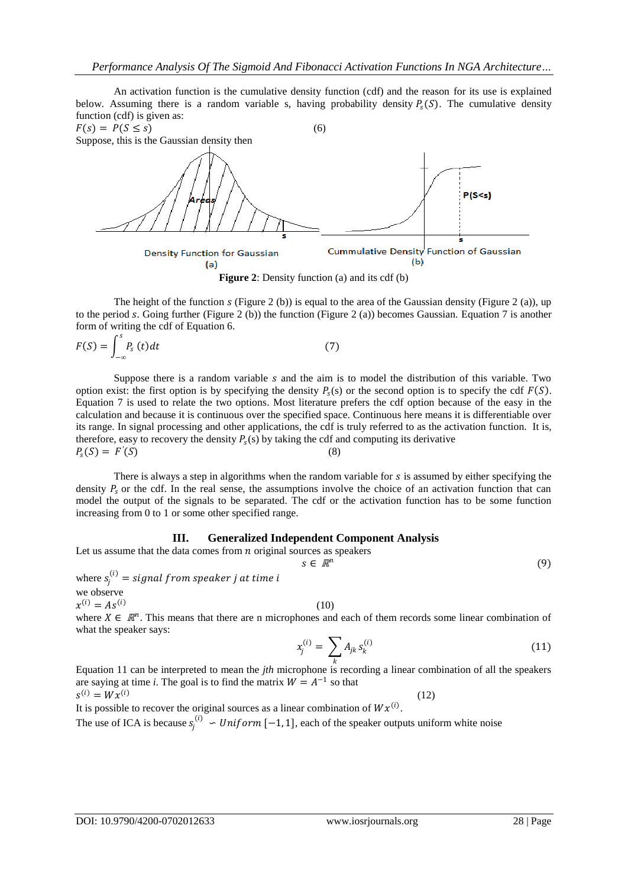An activation function is the cumulative density function (cdf) and the reason for its use is explained below. Assuming there is a random variable s, having probability density  $P_5(S)$ . The cumulative density function (cdf) is given as:



**Figure 2**: Density function (a) and its cdf (b)

The height of the function  $s$  (Figure 2 (b)) is equal to the area of the Gaussian density (Figure 2 (a)), up to the period s. Going further (Figure 2 (b)) the function (Figure 2 (a)) becomes Gaussian. Equation 7 is another form of writing the cdf of Equation 6.

$$
F(S) = \int_{-\infty}^{s} P_s(t)dt
$$
 (7)

Suppose there is a random variable  $s$  and the aim is to model the distribution of this variable. Two option exist: the first option is by specifying the density  $P_s(s)$  or the second option is to specify the cdf  $F(S)$ . Equation 7 is used to relate the two options. Most literature prefers the cdf option because of the easy in the calculation and because it is continuous over the specified space. Continuous here means it is differentiable over its range. In signal processing and other applications, the cdf is truly referred to as the activation function. It is, therefore, easy to recovery the density  $P_s(s)$  by taking the cdf and computing its derivative  $P_{s}(S) = F'$  $(S)$  (8)

There is always a step in algorithms when the random variable for  $s$  is assumed by either specifying the density  $P_0$  or the cdf. In the real sense, the assumptions involve the choice of an activation function that can model the output of the signals to be separated. The cdf or the activation function has to be some function increasing from 0 to 1 or some other specified range.

## **III. Generalized Independent Component Analysis**

Let us assume that the data comes from  $n$  original sources as speakers

$$
s \in \mathbb{R}^n
$$

(9)

where  $s_j^{(i)} = signal from speaker j at time i$ we observe

 $x^{(i)} = As^{(i)}$ 

(10)

where  $X \in \mathbb{R}^n$ . This means that there are n microphones and each of them records some linear combination of what the speaker says:

$$
x_j^{(i)} = \sum_k A_{jk} s_k^{(i)} \tag{11}
$$

 Equation 11 can be interpreted to mean the *jth* microphone is recording a linear combination of all the speakers are saying at time *i*. The goal is to find the matrix  $W = A^{-1}$  so that  $s^{(i)} = Wx^{(i)}$ (12)

It is possible to recover the original sources as a linear combination of  $Wx^{(i)}$ . The use of ICA is because  $s_j^{(i)} \sim Uniform$  [-1, 1], each of the speaker outputs uniform white noise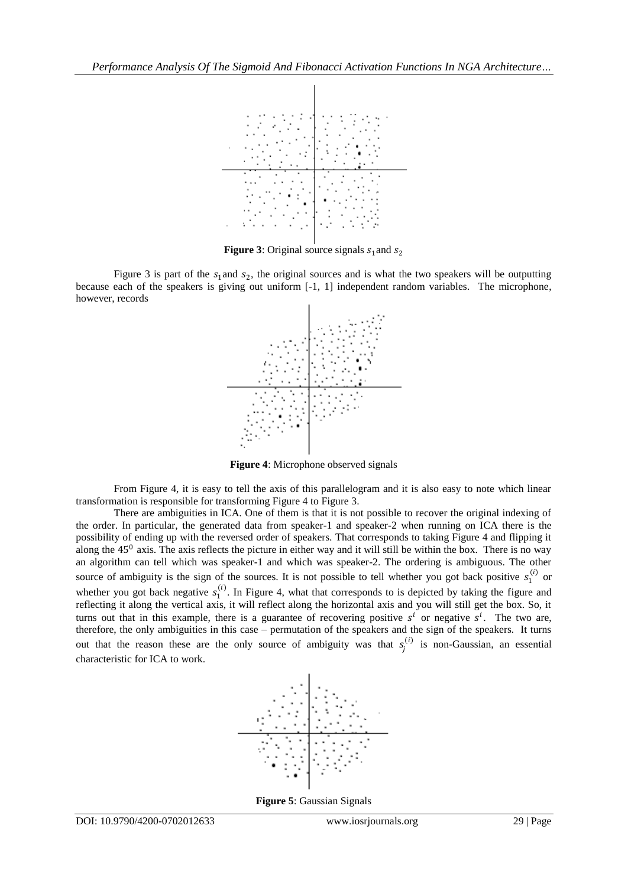

**Figure 3**: Original source signals  $s_1$  and  $s_2$ 

Figure 3 is part of the  $s_1$  and  $s_2$ , the original sources and is what the two speakers will be outputting because each of the speakers is giving out uniform [-1, 1] independent random variables. The microphone, however, records



**Figure 4**: Microphone observed signals

From Figure 4, it is easy to tell the axis of this parallelogram and it is also easy to note which linear transformation is responsible for transforming Figure 4 to Figure 3.

There are ambiguities in ICA. One of them is that it is not possible to recover the original indexing of the order. In particular, the generated data from speaker-1 and speaker-2 when running on ICA there is the possibility of ending up with the reversed order of speakers. That corresponds to taking Figure 4 and flipping it along the  $45<sup>0</sup>$  axis. The axis reflects the picture in either way and it will still be within the box. There is no way an algorithm can tell which was speaker-1 and which was speaker-2. The ordering is ambiguous. The other source of ambiguity is the sign of the sources. It is not possible to tell whether you got back positive  $s_1^{(i)}$  or whether you got back negative  $s_1^{(i)}$ . In Figure 4, what that corresponds to is depicted by taking the figure and reflecting it along the vertical axis, it will reflect along the horizontal axis and you will still get the box. So, it turns out that in this example, there is a guarantee of recovering positive  $s^i$  or negative  $s^i$ . The two are, therefore, the only ambiguities in this case – permutation of the speakers and the sign of the speakers. It turns out that the reason these are the only source of ambiguity was that  $s_j^{(i)}$  is non-Gaussian, an essential characteristic for ICA to work.



**Figure 5**: Gaussian Signals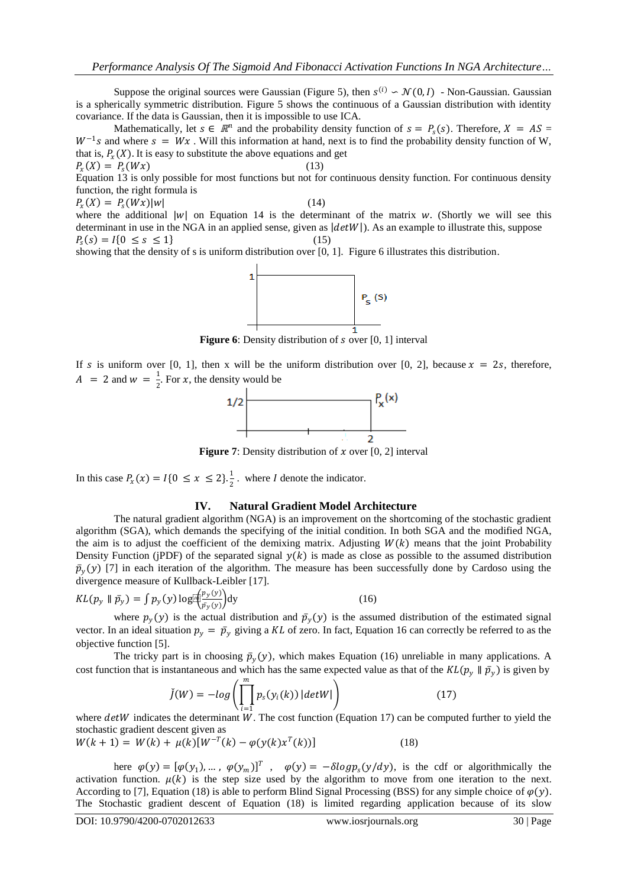Suppose the original sources were Gaussian (Figure 5), then  $s^{(i)} \sim \mathcal{N}(0, I)$  - Non-Gaussian. Gaussian is a spherically symmetric distribution. Figure 5 shows the continuous of a Gaussian distribution with identity covariance. If the data is Gaussian, then it is impossible to use ICA.

Mathematically, let  $s \in \mathbb{R}^n$  and the probability density function of  $s = P_s(s)$ . Therefore,  $X = AS =$  $W^{-1}s$  and where  $s = Wx$ . Will this information at hand, next is to find the probability density function of W, that is,  $P_{x}(X)$ . It is easy to substitute the above equations and get  $P_{\rm x}(X) = P_{\rm s}(Wx)$  (13)

Equation 13 is only possible for most functions but not for continuous density function. For continuous density function, the right formula is

 $P_{\rm x}(X) = P_{\rm s}(Wx)|w|$  (14)

where the additional  $|w|$  on Equation 14 is the determinant of the matrix w. (Shortly we will see this determinant in use in the NGA in an applied sense, given as  $\left|\frac{detW}{dx}\right|$ . As an example to illustrate this, suppose  $P_s(s) = I\{0 \le s \le 1\}$  (15)

showing that the density of s is uniform distribution over [0, 1]. Figure 6 illustrates this distribution.



If s is uniform over [0, 1], then x will be the uniform distribution over [0, 2], because  $x = 2s$ , therefore,  $A = 2$  and  $w = \frac{1}{2}$  $\frac{1}{2}$ . For *x*, the density would be



**Figure 7**: Density distribution of  $x$  over [0, 2] interval

In this case  $P_x(x) = I\{0 \le x \le 2\}$ .  $\frac{1}{2}$ . where *I* denote the indicator.

#### **IV. Natural Gradient Model Architecture**

The natural gradient algorithm (NGA) is an improvement on the shortcoming of the stochastic gradient algorithm (SGA), which demands the specifying of the initial condition. In both SGA and the modified NGA, the aim is to adjust the coefficient of the demixing matrix. Adjusting  $W(k)$  means that the joint Probability Density Function (jPDF) of the separated signal  $y(k)$  is made as close as possible to the assumed distribution  $\bar{p}_v(y)$  [7] in each iteration of the algorithm. The measure has been successfully done by Cardoso using the divergence measure of Kullback-Leibler [17].

$$
KL(p_y \parallel \bar{p}_y) = \int p_y(y) \log[\bar{p}(\frac{p_y(y)}{\bar{p}_y(y)})] dy
$$
 (16)

where  $p_v(y)$  is the actual distribution and  $\bar{p}_v(y)$  is the assumed distribution of the estimated signal vector. In an ideal situation  $p_y = \bar{p}_y$  giving a KL of zero. In fact, Equation 16 can correctly be referred to as the objective function [5].

The tricky part is in choosing  $\bar{p}_v(y)$ , which makes Equation (16) unreliable in many applications. A cost function that is instantaneous and which has the same expected value as that of the  $KL(p_v \parallel \bar{p}_v)$  is given by

$$
\check{J}(W) = -\log\left(\prod_{i=1}^{m} p_s(y_i(k)) |\det W| \right) \tag{17}
$$

where  $detW$  indicates the determinant  $W$ . The cost function (Equation 17) can be computed further to yield the stochastic gradient descent given as

$$
W(k+1) = W(k) + \mu(k)[W^{-T}(k) - \varphi(y(k)x^{T}(k))]
$$
\n(18)

here  $\varphi(y) = [\varphi(y_1), ..., \varphi(y_m)]^T$ ,  $\varphi(y) = -\delta log p_s(y/dy)$ , is the cdf or algorithmically the activation function.  $\mu(k)$  is the step size used by the algorithm to move from one iteration to the next. According to [7], Equation (18) is able to perform Blind Signal Processing (BSS) for any simple choice of  $\varphi(y)$ . The Stochastic gradient descent of Equation (18) is limited regarding application because of its slow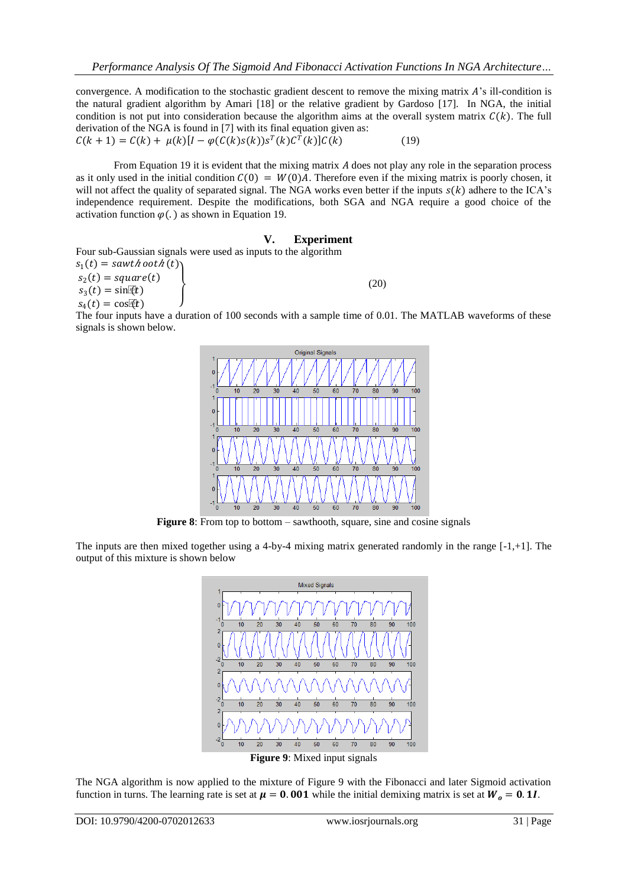convergence. A modification to the stochastic gradient descent to remove the mixing matrix  $A$ 's ill-condition is the natural gradient algorithm by Amari [18] or the relative gradient by Gardoso [17]. In NGA, the initial condition is not put into consideration because the algorithm aims at the overall system matrix  $C(k)$ . The full derivation of the NGA is found in [7] with its final equation given as:  $C(k + 1) = C(k) + \mu(k)[I - \varphi(C(k)s(k))s^{T}(k)C^{T}(k)]C(k)$  (19)

From Equation 19 it is evident that the mixing matrix  $A$  does not play any role in the separation process as it only used in the initial condition  $C(0) = W(0)A$ . Therefore even if the mixing matrix is poorly chosen, it will not affect the quality of separated signal. The NGA works even better if the inputs  $s(k)$  adhere to the ICA's independence requirement. Despite the modifications, both SGA and NGA require a good choice of the activation function  $\varphi$ (.) as shown in Equation 19.

**V.** Experiment  
\nFour sub-Gaussian signals were used as inputs to the algorithm  
\n
$$
s_1(t) = sawt \text{ to } 2(t)
$$
  
\n $s_2(t) = square(t)$   
\n $s_3(t) = sin(\frac{\pi}{2}t)$   
\n $s_4(t) = cos(\frac{\pi}{2})$  (20)

The four inputs have a duration of 100 seconds with a sample time of 0.01. The MATLAB waveforms of these signals is shown below.



**Figure 8:** From top to bottom – sawthooth, square, sine and cosine signals

The inputs are then mixed together using a 4-by-4 mixing matrix generated randomly in the range [-1,+1]. The output of this mixture is shown below



**Figure 9**: Mixed input signals

The NGA algorithm is now applied to the mixture of Figure 9 with the Fibonacci and later Sigmoid activation function in turns. The learning rate is set at  $\mu = 0.001$  while the initial demixing matrix is set at  $W_0 = 0.1I$ .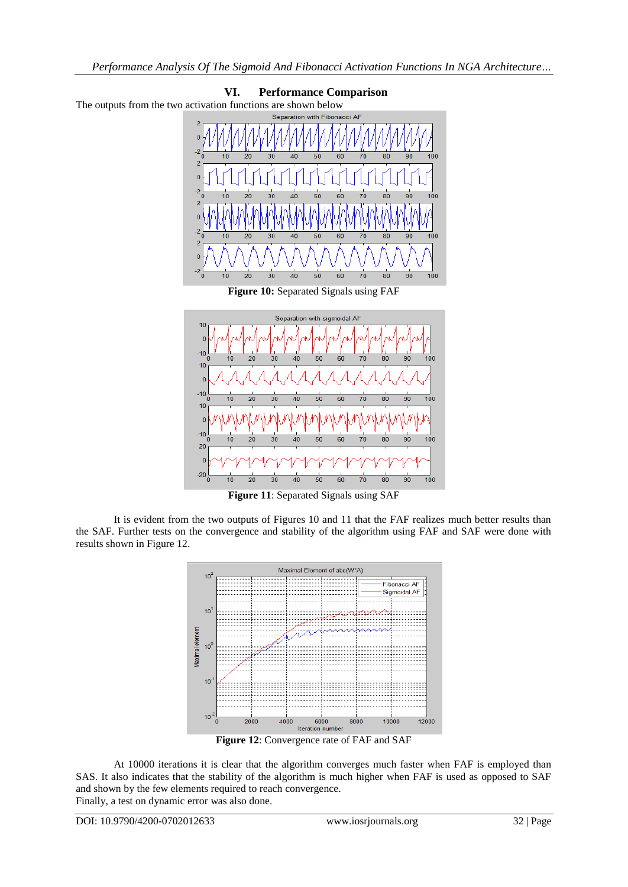

It is evident from the two outputs of Figures 10 and 11 that the FAF realizes much better results than the SAF. Further tests on the convergence and stability of the algorithm using FAF and SAF were done with results shown in Figure 12.



**Figure 12**: Convergence rate of FAF and SAF

At 10000 iterations it is clear that the algorithm converges much faster when FAF is employed than SAS. It also indicates that the stability of the algorithm is much higher when FAF is used as opposed to SAF and shown by the few elements required to reach convergence. Finally, a test on dynamic error was also done.